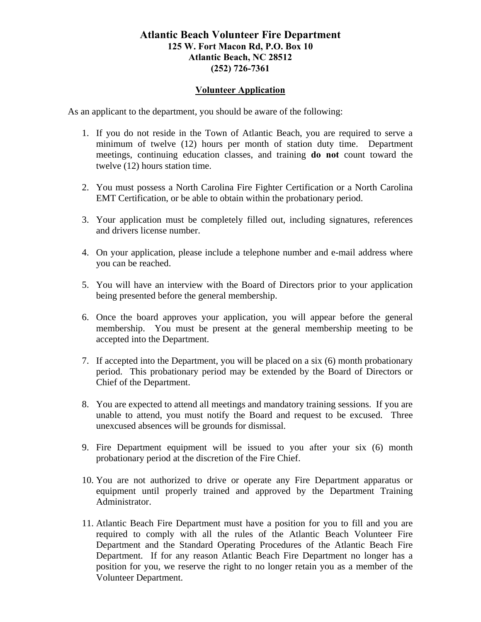### **Atlantic Beach Volunteer Fire Department 125 W. Fort Macon Rd, P.O. Box 10 Atlantic Beach, NC 28512 (252) 726-7361**

#### **Volunteer Application**

As an applicant to the department, you should be aware of the following:

- 1. If you do not reside in the Town of Atlantic Beach, you are required to serve a minimum of twelve (12) hours per month of station duty time. Department meetings, continuing education classes, and training **do not** count toward the twelve (12) hours station time.
- 2. You must possess a North Carolina Fire Fighter Certification or a North Carolina EMT Certification, or be able to obtain within the probationary period.
- 3. Your application must be completely filled out, including signatures, references and drivers license number.
- 4. On your application, please include a telephone number and e-mail address where you can be reached.
- 5. You will have an interview with the Board of Directors prior to your application being presented before the general membership.
- 6. Once the board approves your application, you will appear before the general membership. You must be present at the general membership meeting to be accepted into the Department.
- 7. If accepted into the Department, you will be placed on a six (6) month probationary period. This probationary period may be extended by the Board of Directors or Chief of the Department.
- 8. You are expected to attend all meetings and mandatory training sessions. If you are unable to attend, you must notify the Board and request to be excused. Three unexcused absences will be grounds for dismissal.
- 9. Fire Department equipment will be issued to you after your six (6) month probationary period at the discretion of the Fire Chief.
- 10. You are not authorized to drive or operate any Fire Department apparatus or equipment until properly trained and approved by the Department Training Administrator.
- 11. Atlantic Beach Fire Department must have a position for you to fill and you are required to comply with all the rules of the Atlantic Beach Volunteer Fire Department and the Standard Operating Procedures of the Atlantic Beach Fire Department. If for any reason Atlantic Beach Fire Department no longer has a position for you, we reserve the right to no longer retain you as a member of the Volunteer Department.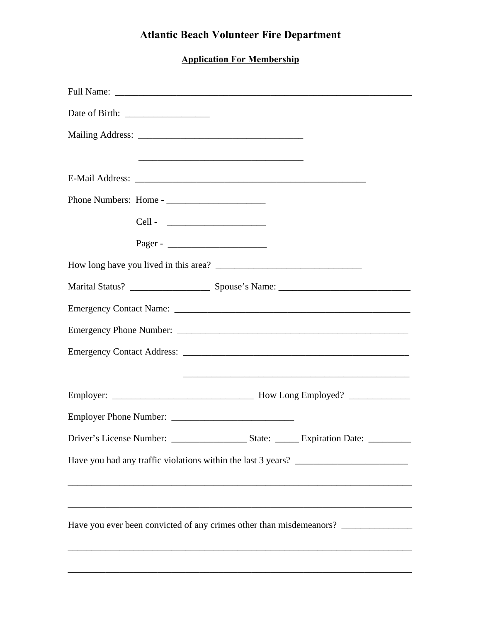# **Atlantic Beach Volunteer Fire Department**

## **Application For Membership**

|  |  | Have you ever been convicted of any crimes other than misdemeanors? _____________ |  |
|--|--|-----------------------------------------------------------------------------------|--|
|  |  |                                                                                   |  |